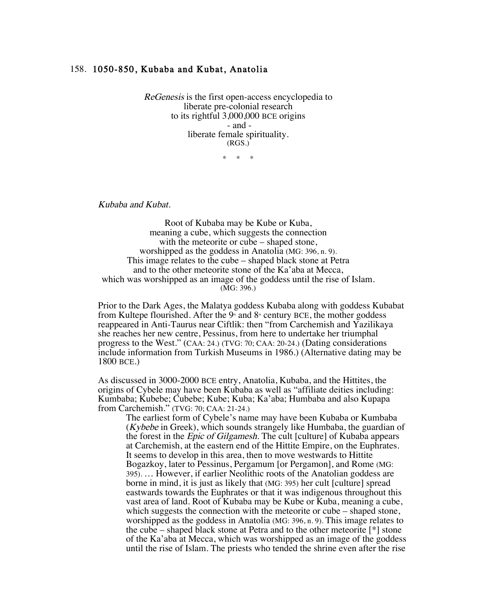## 158. 1050-850, Kubaba and Kubat, Anatolia

ReGenesis is the first open-access encyclopedia to liberate pre-colonial research to its rightful 3,000,000 BCE origins - and liberate female spirituality. (RGS.)

\* \* \*

Kubaba and Kubat.

Root of Kubaba may be Kube or Kuba, meaning a cube, which suggests the connection with the meteorite or cube – shaped stone, worshipped as the goddess in Anatolia (MG: 396, n. 9). This image relates to the cube – shaped black stone at Petra and to the other meteorite stone of the Ka'aba at Mecca, which was worshipped as an image of the goddess until the rise of Islam. (MG: 396.)

Prior to the Dark Ages, the Malatya goddess Kubaba along with goddess Kubabat from Kultepe flourished. After the  $9$ <sup>th</sup> and  $8$ <sup>th</sup> century BCE, the mother goddess reappeared in Anti-Taurus near Ciftlik: then "from Carchemish and Yazilikaya she reaches her new centre, Pessinus, from here to undertake her triumphal progress to the West." (CAA: 24.) (TVG: 70; CAA: 20-24.) (Dating considerations include information from Turkish Museums in 1986.) (Alternative dating may be 1800 BCE.)

As discussed in 3000-2000 BCE entry, Anatolia, Kubaba, and the Hittites, the origins of Cybele may have been Kubaba as well as "affiliate deities including: Kumbaba; Kubebe; Cubebe; Kube; Kuba; Ka'aba; Humbaba and also Kupapa from Carchemish." (TVG: 70; CAA: 21-24.)

The earliest form of Cybele's name may have been Kubaba or Kumbaba (Kybebe in Greek), which sounds strangely like Humbaba, the guardian of the forest in the Epic of Gilgamesh. The cult [culture] of Kubaba appears at Carchemish, at the eastern end of the Hittite Empire, on the Euphrates. It seems to develop in this area, then to move westwards to Hittite Bogazkoy, later to Pessinus, Pergamum [or Pergamon], and Rome (MG: 395). … However, if earlier Neolithic roots of the Anatolian goddess are borne in mind, it is just as likely that (MG: 395) her cult [culture] spread eastwards towards the Euphrates or that it was indigenous throughout this vast area of land. Root of Kubaba may be Kube or Kuba, meaning a cube, which suggests the connection with the meteorite or cube – shaped stone, worshipped as the goddess in Anatolia (MG: 396, n. 9). This image relates to the cube – shaped black stone at Petra and to the other meteorite [\*] stone of the Ka'aba at Mecca, which was worshipped as an image of the goddess until the rise of Islam. The priests who tended the shrine even after the rise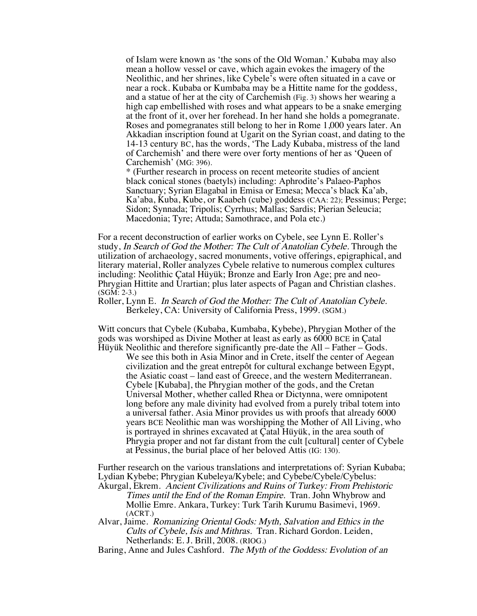of Islam were known as 'the sons of the Old Woman.' Kubaba may also mean a hollow vessel or cave, which again evokes the imagery of the Neolithic, and her shrines, like Cybele's were often situated in a cave or near a rock. Kubaba or Kumbaba may be a Hittite name for the goddess, and a statue of her at the city of Carchemish (Fig. 3) shows her wearing a high cap embellished with roses and what appears to be a snake emerging at the front of it, over her forehead. In her hand she holds a pomegranate. Roses and pomegranates still belong to her in Rome 1,000 years later. An Akkadian inscription found at Ugarit on the Syrian coast, and dating to the 14-13 century BC, has the words, 'The Lady Kubaba, mistress of the land of Carchemish' and there were over forty mentions of her as 'Queen of Carchemish' (MG: 396).

\* (Further research in process on recent meteorite studies of ancient black conical stones (baetyls) including: Aphrodite's Palaeo-Paphos Sanctuary; Syrian Elagabal in Emisa or Emesa; Mecca's black Ka'ab, Ka'aba, Kuba, Kube, or Kaabeh (cube) goddess (CAA: 22); Pessinus; Perge; Sidon; Synnada; Tripolis; Cyrrhus; Mallas; Sardis; Pierian Seleucia; Macedonia; Tyre; Attuda; Samothrace, and Pola etc.)

For a recent deconstruction of earlier works on Cybele, see Lynn E. Roller's study, In Search of God the Mother: The Cult of Anatolian Cybele. Through the utilization of archaeology, sacred monuments, votive offerings, epigraphical, and literary material, Roller analyzes Cybele relative to numerous complex cultures including: Neolithic Çatal Hüyük; Bronze and Early Iron Age; pre and neo-Phrygian Hittite and Urartian; plus later aspects of Pagan and Christian clashes. (SGM: 2-3.)

Roller, Lynn E. In Search of God the Mother: The Cult of Anatolian Cybele. Berkeley, CA: University of California Press, 1999. (SGM.)

Witt concurs that Cybele (Kubaba, Kumbaba, Kybebe), Phrygian Mother of the gods was worshiped as Divine Mother at least as early as 6000 BCE in Çatal Hüyük Neolithic and therefore significantly pre-date the All – Father – Gods.

We see this both in Asia Minor and in Crete, itself the center of Aegean civilization and the great entrepôt for cultural exchange between Egypt, the Asiatic coast – land east of Greece, and the western Mediterranean. Cybele [Kubaba], the Phrygian mother of the gods, and the Cretan Universal Mother, whether called Rhea or Dictynna, were omnipotent long before any male divinity had evolved from a purely tribal totem into a universal father. Asia Minor provides us with proofs that already 6000 years BCE Neolithic man was worshipping the Mother of All Living, who is portrayed in shrines excavated at Çatal Hüyük, in the area south of Phrygia proper and not far distant from the cult [cultural] center of Cybele at Pessinus, the burial place of her beloved Attis (IG: 130).

Further research on the various translations and interpretations of: Syrian Kubaba; Lydian Kybebe; Phrygian Kubeleya/Kybele; and Cybebe/Cybele/Cybelus: Akurgal, Ekrem. Ancient Civilizations and Ruins of Turkey: From Prehistoric Times until the End of the Roman Empire. Tran. John Whybrow and Mollie Emre. Ankara, Turkey: Turk Tarih Kurumu Basimevi, 1969. (ACRT.)

Alvar, Jaime. Romanizing Oriental Gods: Myth, Salvation and Ethics in the Cults of Cybele, Isis and Mithras. Tran. Richard Gordon. Leiden, Netherlands: E. J. Brill, 2008. (RIOG.)

Baring, Anne and Jules Cashford. The Myth of the Goddess: Evolution of an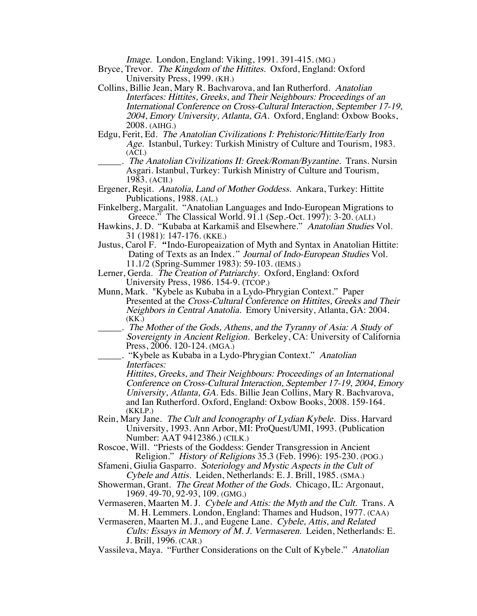Image. London, England: Viking, 1991. 391-415. (MG.)

- Bryce, Trevor. The Kingdom of the Hittites. Oxford, England: Oxford University Press, 1999. (KH.)
- Collins, Billie Jean, Mary R. Bachvarova, and Ian Rutherford. Anatolian Interfaces: Hittites, Greeks, and Their Neighbours: Proceedings of an International Conference on Cross-Cultural Interaction, September 17-19, 2004, Emory University, Atlanta, GA. Oxford, England: Oxbow Books, 2008. (AIHG.)
- Edgu, Ferit, Ed. The Anatolian Civilizations I: Prehistoric/Hittite/Early Iron Age. Istanbul, Turkey: Turkish Ministry of Culture and Tourism, 1983. (ACI.)
	- .. The Anatolian Civilizations II: Greek/Roman/Byzantine. Trans. Nursin Asgari. Istanbul, Turkey: Turkish Ministry of Culture and Tourism, 1983. (ACII.)
- Ergener, Reşit. Anatolia, Land of Mother Goddess. Ankara, Turkey: Hittite Publications, 1988. (AL.)
- Finkelberg, Margalit. "Anatolian Languages and Indo-European Migrations to Greece." The Classical World. 91.1 (Sep.-Oct. 1997): 3-20. (ALI.)
- Hawkins, J. D. "Kubaba at Karkamiš and Elsewhere." Anatolian Studies Vol. 31 (1981): 147-176. (KKE.)
- Justus, Carol F. "Indo-Europeaization of Myth and Syntax in Anatolian Hittite: Dating of Texts as an Index." Journal of Indo-European Studies Vol. 11.1/2 (Spring-Summer 1983): 59-103. (IEMS.)
- Lerner, Gerda. The Creation of Patriarchy. Oxford, England: Oxford University Press, 1986. 154-9. (TCOP.)
- Munn, Mark. "Kybele as Kubaba in a Lydo-Phrygian Context." Paper Presented at the Cross-Cultural Conference on Hittites, Greeks and Their Neighbors in Central Anatolia. Emory University, Atlanta, GA: 2004. (KK.)
- \_\_\_\_\_. The Mother of the Gods, Athens, and the Tyranny of Asia: A Study of Sovereignty in Ancient Religion. Berkeley, CA: University of California Press, 2006. 120-124. (MGA.)
	- \_\_\_\_\_. "Kybele as Kubaba in a Lydo-Phrygian Context." Anatolian Interfaces:

Hittites, Greeks, and Their Neighbours: Proceedings of an International Conference on Cross-Cultural Interaction, September 17-19, 2004, Emory University, Atlanta, GA. Eds. Billie Jean Collins, Mary R. Bachvarova, and Ian Rutherford. Oxford, England: Oxbow Books, 2008. 159-164. (KKLP.)

- Rein, Mary Jane. The Cult and Iconography of Lydian Kybele. Diss. Harvard University, 1993. Ann Arbor, MI: ProQuest/UMI, 1993. (Publication Number: AAT 9412386.) (CILK.)
- Roscoe, Will. "Priests of the Goddess: Gender Transgression in Ancient Religion." History of Religions 35.3 (Feb. 1996): 195-230. (POG.)
- Sfameni, Giulia Gasparro. Soteriology and Mystic Aspects in the Cult of Cybele and Attis. Leiden, Netherlands: E. J. Brill, 1985. (SMA.)
- Showerman, Grant. The Great Mother of the Gods. Chicago, IL: Argonaut, 1969. 49-70, 92-93, 109. (GMG.)
- Vermaseren, Maarten M. J. Cybele and Attis: the Myth and the Cult. Trans. A M. H. Lemmers. London, England: Thames and Hudson, 1977. (CAA)

Vermaseren, Maarten M. J., and Eugene Lane. Cybele, Attis, and Related Cults: Essays in Memory of M. J. Vermaseren. Leiden, Netherlands: E. J. Brill, 1996. (CAR.)

Vassileva, Maya. "Further Considerations on the Cult of Kybele." Anatolian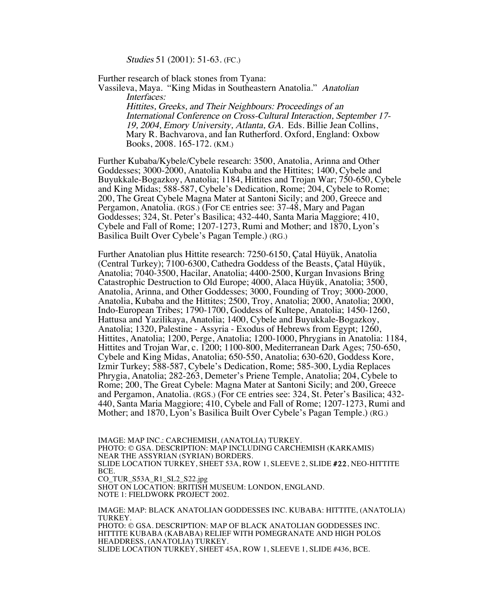Studies 51 (2001): 51-63. (FC.)

Further research of black stones from Tyana:

Vassileva, Maya. "King Midas in Southeastern Anatolia." Anatolian Interfaces:

> Hittites, Greeks, and Their Neighbours: Proceedings of an International Conference on Cross-Cultural Interaction, September 17- 19, 2004, Emory University, Atlanta, GA. Eds. Billie Jean Collins, Mary R. Bachvarova, and Ian Rutherford. Oxford, England: Oxbow Books, 2008. 165-172. (KM.)

Further Kubaba/Kybele/Cybele research: 3500, Anatolia, Arinna and Other Goddesses; 3000-2000, Anatolia Kubaba and the Hittites; 1400, Cybele and Buyukkale-Bogazkoy, Anatolia; 1184, Hittites and Trojan War; 750-650, Cybele and King Midas; 588-587, Cybele's Dedication, Rome; 204, Cybele to Rome; 200, The Great Cybele Magna Mater at Santoni Sicily; and 200, Greece and Pergamon, Anatolia. (RGS.) (For CE entries see: 37-48, Mary and Pagan Goddesses; 324, St. Peter's Basilica; 432-440, Santa Maria Maggiore; 410, Cybele and Fall of Rome; 1207-1273, Rumi and Mother; and 1870, Lyon's Basilica Built Over Cybele's Pagan Temple.) (RG.)

Further Anatolian plus Hittite research: 7250-6150, Çatal Hüyük, Anatolia (Central Turkey); 7100-6300, Cathedra Goddess of the Beasts, Çatal Hüyük, Anatolia; 7040-3500, Hacilar, Anatolia; 4400-2500, Kurgan Invasions Bring Catastrophic Destruction to Old Europe; 4000, Alaca Hüyük, Anatolia; 3500, Anatolia, Arinna, and Other Goddesses; 3000, Founding of Troy; 3000-2000, Anatolia, Kubaba and the Hittites; 2500, Troy, Anatolia; 2000, Anatolia; 2000, Indo-European Tribes; 1790-1700, Goddess of Kultepe, Anatolia; 1450-1260, Hattusa and Yazilikaya, Anatolia; 1400, Cybele and Buyukkale-Bogazkoy, Anatolia; 1320, Palestine - Assyria - Exodus of Hebrews from Egypt; 1260, Hittites, Anatolia; 1200, Perge, Anatolia; 1200-1000, Phrygians in Anatolia: 1184, Hittites and Trojan War, c. 1200; 1100-800, Mediterranean Dark Ages; 750-650, Cybele and King Midas, Anatolia; 650-550, Anatolia; 630-620, Goddess Kore, Izmir Turkey; 588-587, Cybele's Dedication, Rome; 585-300, Lydia Replaces Phrygia, Anatolia; 282-263, Demeter's Priene Temple, Anatolia; 204, Cybele to Rome; 200, The Great Cybele: Magna Mater at Santoni Sicily; and 200, Greece and Pergamon, Anatolia. (RGS.) (For CE entries see: 324, St. Peter's Basilica; 432- 440, Santa Maria Maggiore; 410, Cybele and Fall of Rome; 1207-1273, Rumi and Mother; and 1870, Lyon's Basilica Built Over Cybele's Pagan Temple.) (RG.)

IMAGE: MAP INC.: CARCHEMISH, (ANATOLIA) TURKEY. PHOTO: © GSA. DESCRIPTION: MAP INCLUDING CARCHEMISH (KARKAMIS) NEAR THE ASSYRIAN (SYRIAN) BORDERS. SLIDE LOCATION TURKEY, SHEET 53A, ROW 1, SLEEVE 2, SLIDE #22, NEO-HITTITE BCE. CO\_TUR\_S53A\_R1\_SL2\_S22.jpg SHOT ON LOCATION: BRITISH MUSEUM: LONDON, ENGLAND. NOTE 1: FIELDWORK PROJECT 2002. IMAGE: MAP: BLACK ANATOLIAN GODDESSES INC. KUBABA: HITTITE, (ANATOLIA) TURKEY. PHOTO: © GSA. DESCRIPTION: MAP OF BLACK ANATOLIAN GODDESSES INC.

HITTITE KUBABA (KABABA) RELIEF WITH POMEGRANATE AND HIGH POLOS HEADDRESS, (ANATOLIA) TURKEY.

SLIDE LOCATION TURKEY, SHEET 45A, ROW 1, SLEEVE 1, SLIDE #436, BCE.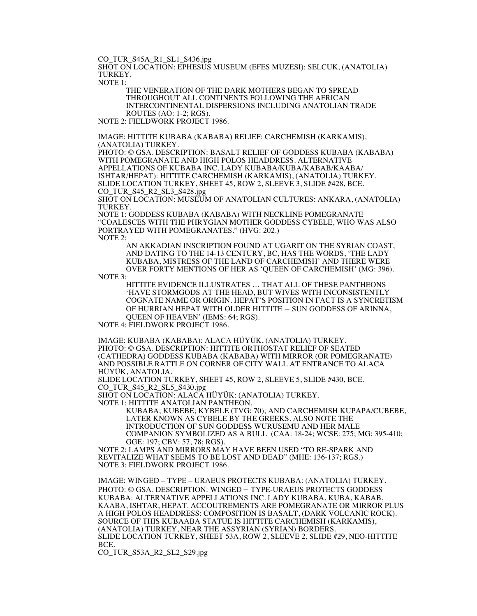CO\_TUR\_S45A\_R1\_SL1\_S436.jpg

SHOT ON LOCATION: EPHESUS MUSEUM (EFES MUZESI): SELCUK, (ANATOLIA) TURKEY.

NOTE 1:

THE VENERATION OF THE DARK MOTHERS BEGAN TO SPREAD THROUGHOUT ALL CONTINENTS FOLLOWING THE AFRICAN INTERCONTINENTAL DISPERSIONS INCLUDING ANATOLIAN TRADE ROUTES (AO: 1-2; RGS).

NOTE 2: FIELDWORK PROJECT 1986.

IMAGE: HITTITE KUBABA (KABABA) RELIEF: CARCHEMISH (KARKAMIS), (ANATOLIA) TURKEY.

PHOTO: © GSA. DESCRIPTION: BASALT RELIEF OF GODDESS KUBABA (KABABA) WITH POMEGRANATE AND HIGH POLOS HEADDRESS. ALTERNATIVE APPELLATIONS OF KUBABA INC. LADY KUBABA/KUBA/KABAB/KAABA/ ISHTAR/HEPAT): HITTITE CARCHEMISH (KARKAMIS), (ANATOLIA) TURKEY. SLIDE LOCATION TURKEY, SHEET 45, ROW 2, SLEEVE 3, SLIDE #428, BCE. CO\_TUR\_S45\_R2\_SL3\_S428.jpg

SHOT ON LOCATION: MUSEUM OF ANATOLIAN CULTURES: ANKARA, (ANATOLIA) TURKEY.

NOTE 1: GODDESS KUBABA (KABABA) WITH NECKLINE POMEGRANATE "COALESCES WITH THE PHRYGIAN MOTHER GODDESS CYBELE, WHO WAS ALSO PORTRAYED WITH POMEGRANATES." (HVG: 202.) NOTE 2:

AN AKKADIAN INSCRIPTION FOUND AT UGARIT ON THE SYRIAN COAST, AND DATING TO THE 14-13 CENTURY, BC, HAS THE WORDS, 'THE LADY KUBABA, MISTRESS OF THE LAND OF CARCHEMISH' AND THERE WERE OVER FORTY MENTIONS OF HER AS 'QUEEN OF CARCHEMISH' (MG: 396).

NOTE 3:

HITTITE EVIDENCE ILLUSTRATES … THAT ALL OF THESE PANTHEONS 'HAVE STORMGODS AT THE HEAD, BUT WIVES WITH INCONSISTENTLY COGNATE NAME OR ORIGIN. HEPAT'S POSITION IN FACT IS A SYNCRETISM OF HURRIAN HEPAT WITH OLDER HITTITE – SUN GODDESS OF ARINNA, QUEEN OF HEAVEN' (IEMS: 64; RGS).

NOTE 4: FIELDWORK PROJECT 1986.

IMAGE: KUBABA (KABABA): ALACA HÜYÜK, (ANATOLIA) TURKEY. PHOTO: © GSA. DESCRIPTION: HITTITE ORTHOSTAT RELIEF OF SEATED (CATHEDRA) GODDESS KUBABA (KABABA) WITH MIRROR (OR POMEGRANATE) AND POSSIBLE RATTLE ON CORNER OF CITY WALL AT ENTRANCE TO ALACA HÜYÜK, ANATOLIA.

SLIDE LOCATION TURKEY, SHEET 45, ROW 2, SLEEVE 5, SLIDE #430, BCE. CO\_TUR\_S45\_R2\_SL5\_S430.jpg

SHOT ON LOCATION: ALACA HÜYÜK: (ANATOLIA) TURKEY.

NOTE 1: HITTITE ANATOLIAN PANTHEON.

KUBABA; KUBEBE; KYBELE (TVG: 70); AND CARCHEMISH KUPAPA/CUBEBE, LATER KNOWN AS CYBELE BY THE GREEKS. ALSO NOTE THE INTRODUCTION OF SUN GODDESS WURUSEMU AND HER MALE COMPANION SYMBOLIZED AS A BULL (CAA: 18-24; WCSE: 275; MG: 395-410; GGE: 197; CBV: 57, 78; RGS).

NOTE 2: LAMPS AND MIRRORS MAY HAVE BEEN USED "TO RE-SPARK AND REVITALIZE WHAT SEEMS TO BE LOST AND DEAD" (MHE: 136-137; RGS.) NOTE 3: FIELDWORK PROJECT 1986.

IMAGE: WINGED – TYPE – URAEUS PROTECTS KUBABA: (ANATOLIA) TURKEY. PHOTO: © GSA. DESCRIPTION: WINGED – TYPE-URAEUS PROTECTS GODDESS KUBABA: ALTERNATIVE APPELLATIONS INC. LADY KUBABA, KUBA, KABAB, KAABA, ISHTAR, HEPAT. ACCOUTREMENTS ARE POMEGRANATE OR MIRROR PLUS A HIGH POLOS HEADDRESS: COMPOSITION IS BASALT, (DARK VOLCANIC ROCK). SOURCE OF THIS KUBAABA STATUE IS HITTITE CARCHEMISH (KARKAMIS), (ANATOLIA) TURKEY, NEAR THE ASSYRIAN (SYRIAN) BORDERS. SLIDE LOCATION TURKEY, SHEET 53A, ROW 2, SLEEVE 2, SLIDE #29, NEO-HITTITE BCE.

CO\_TUR\_S53A\_R2\_SL2\_S29.jpg